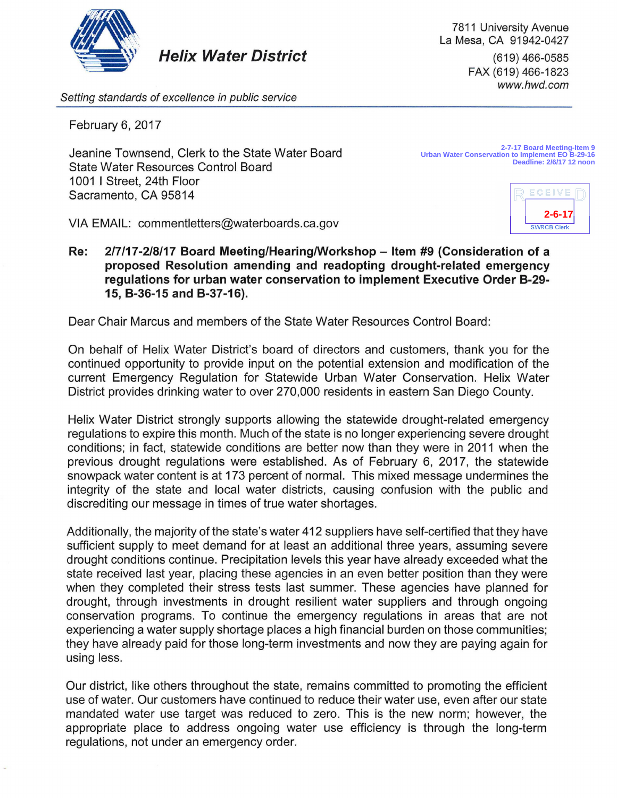

*Setting standards of excellence in public service* 

February 6, 2017

Jeanine Townsend, Clerk to the State Water Board State Water Resources Control Board 1001 I Street, 24th Floor Sacramento, CA 95814

**2-7-17 Board Meeting-Item 9 Urban Water Conservation to Implement EO B-29-16 Deadline: 2/6/17 12 noon**

7811 University Avenue La Mesa, CA 91942-0427

> (619) 466-0585 FAX (619) 466-1823 *www.hwd.com*



VIA EMAIL: commentletters@waterboards.ca.gov

Re: 2/7/17-2/8/17 Board Meeting/Hearing/Workshop - Item #9 (Consideration of a **proposed Resolution amending and readopting drought-related emergency regulations for urban water conservation to implement Executive Order B-29- 15, B-36-15 and B-37-16).** 

Dear Chair Marcus and members of the State Water Resources Control Board:

On behalf of Helix Water District's board of directors and customers, thank you for the continued opportunity to provide input on the potential extension and modification of the current Emergency Regulation for Statewide Urban Water Conservation. Helix Water District provides drinking water to over 270,000 residents in eastern San Diego County.

Helix Water District strongly supports allowing the statewide drought-related emergency regulations to expire this month. Much of the state is no longer experiencing severe drought conditions; in fact, statewide conditions are better now than they were in 2011 when the previous drought regulations were established. As of February 6, 2017, the statewide snowpack water content is at 173 percent of normal. This mixed message undermines the integrity of the state and local water districts, causing confusion with the public and discrediting our message in times of true water shortages.

Additionally, the majority of the state's water 412 suppliers have self-certified that they have sufficient supply to meet demand for at least an additional three years, assuming severe drought conditions continue. Precipitation levels this year have already exceeded what the state received last year, placing these agencies in an even better position than they were when they completed their stress tests last summer. These agencies have planned for drought, through investments in drought resilient water suppliers and through ongoing conservation programs. To continue the emergency regulations in areas that are not experiencing a water supply shortage places a high financial burden on those communities; they have already paid for those long-term investments and now they are paying again for using less.

Our district, like others throughout the state, remains committed to promoting the efficient use of water. Our customers have continued to reduce their water use, even after our state mandated water use target was reduced to zero. This is the new norm; however, the appropriate place to address ongoing water use efficiency is through the long-term regulations, not under an emergency order.